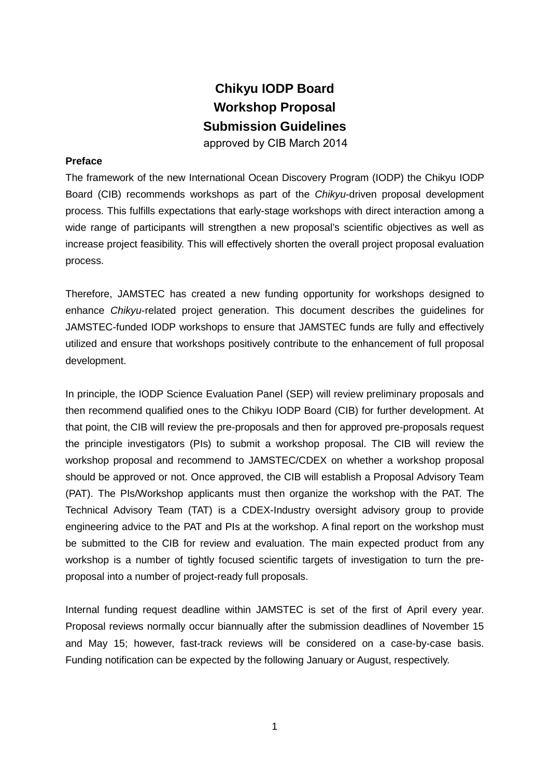## **Chikyu IODP Board Workshop Proposal Submission Guidelines**

approved by CIB March 2014

## **Preface**

The framework of the new International Ocean Discovery Program (IODP) the Chikyu IODP Board (CIB) recommends workshops as part of the *Chikyu*-driven proposal development process. This fulfills expectations that early-stage workshops with direct interaction among a wide range of participants will strengthen a new proposal's scientific objectives as well as increase project feasibility. This will effectively shorten the overall project proposal evaluation process.

Therefore, JAMSTEC has created a new funding opportunity for workshops designed to enhance *Chikyu*-related project generation. This document describes the guidelines for JAMSTEC-funded IODP workshops to ensure that JAMSTEC funds are fully and effectively utilized and ensure that workshops positively contribute to the enhancement of full proposal development.

In principle, the IODP Science Evaluation Panel (SEP) will review preliminary proposals and then recommend qualified ones to the Chikyu IODP Board (CIB) for further development. At that point, the CIB will review the pre-proposals and then for approved pre-proposals request the principle investigators (PIs) to submit a workshop proposal. The CIB will review the workshop proposal and recommend to JAMSTEC/CDEX on whether a workshop proposal should be approved or not. Once approved, the CIB will establish a Proposal Advisory Team (PAT). The PIs/Workshop applicants must then organize the workshop with the PAT. The Technical Advisory Team (TAT) is a CDEX-Industry oversight advisory group to provide engineering advice to the PAT and PIs at the workshop. A final report on the workshop must be submitted to the CIB for review and evaluation. The main expected product from any workshop is a number of tightly focused scientific targets of investigation to turn the preproposal into a number of project-ready full proposals.

Internal funding request deadline within JAMSTEC is set of the first of April every year. Proposal reviews normally occur biannually after the submission deadlines of November 15 and May 15; however, fast-track reviews will be considered on a case-by-case basis. Funding notification can be expected by the following January or August, respectively.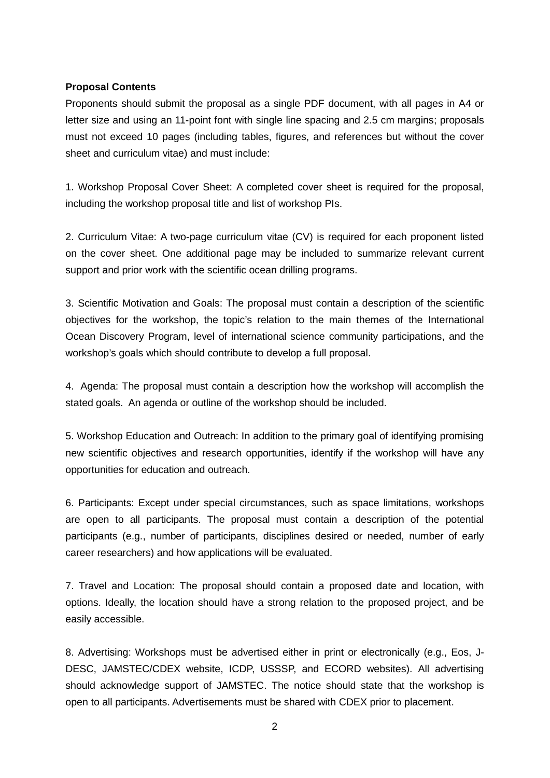## **Proposal Contents**

Proponents should submit the proposal as a single PDF document, with all pages in A4 or letter size and using an 11-point font with single line spacing and 2.5 cm margins; proposals must not exceed 10 pages (including tables, figures, and references but without the cover sheet and curriculum vitae) and must include:

1. Workshop Proposal Cover Sheet: A completed cover sheet is required for the proposal, including the workshop proposal title and list of workshop PIs.

2. Curriculum Vitae: A two-page curriculum vitae (CV) is required for each proponent listed on the cover sheet. One additional page may be included to summarize relevant current support and prior work with the scientific ocean drilling programs.

3. Scientific Motivation and Goals: The proposal must contain a description of the scientific objectives for the workshop, the topic's relation to the main themes of the International Ocean Discovery Program, level of international science community participations, and the workshop's goals which should contribute to develop a full proposal.

4. Agenda: The proposal must contain a description how the workshop will accomplish the stated goals. An agenda or outline of the workshop should be included.

5. Workshop Education and Outreach: In addition to the primary goal of identifying promising new scientific objectives and research opportunities, identify if the workshop will have any opportunities for education and outreach.

6. Participants: Except under special circumstances, such as space limitations, workshops are open to all participants. The proposal must contain a description of the potential participants (e.g., number of participants, disciplines desired or needed, number of early career researchers) and how applications will be evaluated.

7. Travel and Location: The proposal should contain a proposed date and location, with options. Ideally, the location should have a strong relation to the proposed project, and be easily accessible.

8. Advertising: Workshops must be advertised either in print or electronically (e.g., Eos, J-DESC, JAMSTEC/CDEX website, ICDP, USSSP, and ECORD websites). All advertising should acknowledge support of JAMSTEC. The notice should state that the workshop is open to all participants. Advertisements must be shared with CDEX prior to placement.